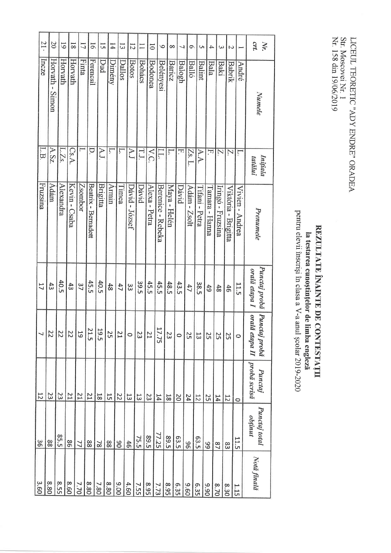## **la testarea cunoștințelor de limba engleză**<br>pentru elevii înscriși în clasa a V-a anul școlar 2019-2020 REZULTATE ÎNAINTE DE CONTESTAȚII

| 21.            | $\Omega$        | $\overline{6}$ | $\overline{8}$  | 17      | $\overline{9}$      | 15                  | $\overline{14}$ | Ξ         | $\overline{5}$ | $\Box$        | $\overline{\circ}$ | $\circ$           | $\infty$      | $\overline{ }$ | $\sigma$     | <b>Un</b>      | 4              | ω                 | $\overline{C}$      | $\overline{\phantom{0}}$ | CTL.<br>Nr.                     |
|----------------|-----------------|----------------|-----------------|---------|---------------------|---------------------|-----------------|-----------|----------------|---------------|--------------------|-------------------|---------------|----------------|--------------|----------------|----------------|-------------------|---------------------|--------------------------|---------------------------------|
| Incze          | Horvath - Simon | Horvath        | Horvath         | Finta   | Ferencsil           | Dud                 | Dimény          | Dallos    | <b>Botos</b>   | <b>Bohács</b> | <b>Bodonea</b>     | <b>Belényesi</b>  | <b>Baricz</b> | Balogh         | <b>Balló</b> | <b>Balint</b>  | <b>Bala</b>    | <b>Baki</b>       | Babrik              | <b>André</b>             | Numele                          |
| L.B            | A.Sz.           | L.Zs.          | $\mathrm{Cs.A}$ |         | D.                  | AJ.                 | Ļ.              | ŗ         | $\Delta J$     | LJ.           | V.C.               | LL.               | ŗ.            | F.             | Zs. L.       | A.A.           | F.             | Z.                | Z.                  | ŗ                        | Inițiala<br>tatălui             |
| Fruzsina       | Adám            | Alexandra      | Kevin - Csaba   | Zsombor | Beatrix - Bernadett | Brigitta            | Armin           | [Timea    | Dávid - József | Dávid         | Alexa - Petra      | Berenice - Rebeka | Maya - Helén  | Dávid          | Adám - Zsolt | Tifani - Petra | Tamara - Hanna | Iringó - Fruzsina | Viktória - Brigitta | Vivien - Andrea          | Prenumele                       |
| 11             | 43              | 40.5           | 43              | 37      | 45.5                | <b>40.5</b>         | 48              | 47        | ε              | 39.5          | 45.5               | 45.5              | 48.5          | 43.5           | 47           | 38.5           | 49             | 48                | 46                  | 11.5                     | Punctaj probă<br>orală etapa I  |
|                | 22              | 22             | 22              | 5       | 21.5                | 19.5                | 25              | <b>Z1</b> | $\circ$        | 23            | 21                 | 7.75              | 23            | $\circ$        | 25           | 13             | S              | 25                | 25                  | $\circ$                  | orală etapa II<br>Punctaj probă |
| $\overline{5}$ | 23              | 23             | 21              | 17      | 12                  | $\overline{\infty}$ | 5               | 22        | 13             | $\frac{1}{3}$ | 23                 | 14                | $\frac{1}{8}$ | $\overline{0}$ | ÞΖ           | $\overline{5}$ | 25             | 14                | 75                  | $\circ$                  | probă scrisă<br><b>Punctaj</b>  |
| δg             | 88              | 85.5           | 98              | 77      | 88                  | $\approx$           | 88              | 06        | 46             | 75.5          | <b>S</b> 9.5       | 77.25             | 89.5          | E3.5           | 96           | E3.5           | 99             | $^{2}$            | 83                  | 11.5                     | Punctaj total<br>obținut        |
| 3.60           | 8.80            | 8.55           | 8.60            | 7.70    | 8.80                | 7.80                | 8.80            | 006       | 4.60           | 7.55          | 8.95               | 7.73              | <b>8.95</b>   | 6.35           | 09.6         | 6.35           | 06'6           | 0/3               | 8.30                | 1.15                     | Nota finală                     |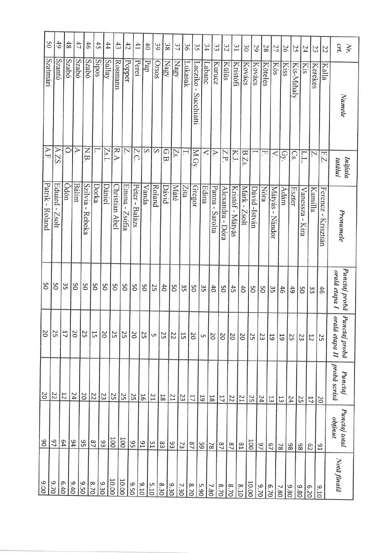| $\mathcal{S}^0$ | 49                                           | 48             | 47                       | 46                                    | 45           | 44             | $\ddot{3}$                    | 42               | 41              | $\ddot{d}$                 | 39             | 38             | 37             | 36      | 35                    | 34      | 33                        | 32               | $\overline{31}$       | $\frac{30}{2}$  | 29            | 28            | 27                                 | 97             | 25              | 54                             |                | $\frac{23}{3}$<br>22  | CM.<br>Nr.                               |
|-----------------|----------------------------------------------|----------------|--------------------------|---------------------------------------|--------------|----------------|-------------------------------|------------------|-----------------|----------------------------|----------------|----------------|----------------|---------|-----------------------|---------|---------------------------|------------------|-----------------------|-----------------|---------------|---------------|------------------------------------|----------------|-----------------|--------------------------------|----------------|-----------------------|------------------------------------------|
| Szatmári        | Szantó                                       | <b>Szabó</b>   | Szabó                    | <b>Szabó</b>                          | <b>Sipos</b> | Sallay         | Rosmann                       | Popper           | Peret           | $\overline{\mathrm{d}} v$  | Orsos          | Nagy           | Nagy           | Lukasak | Lacziko<br>Succhiatti | Labanc  | Kurucz                    | Külüs            | Kristófi              | Kovács          | Kovács        | Köteles       | Kós                                | Kiss           | Kis-Mihaly      | <b>Kis</b>                     | Kerekes        | Kalla                 | Numele                                   |
| A.F             | $\blacktriangleright$<br>$\overline{S}$      | $\circ$        | $\overline{\mathcal{A}}$ | <b>N.B</b>                            | Ļ.           | [Zs.l.         | R,<br>$\triangleright$        | Ż.               | Z.<br>$\bigcap$ | $\overline{S}$             | $\overline{S}$ | GB             | Z <sub>S</sub> | Η.      | M.Gy.                 | $\prec$ | A.                        | άZ               | KJ.                   | B.Zs.           |               | F.            | $\prec$                            | Gy.            | $\mathrm{Cs}$ . | ГŢ                             | Z.             | $E\overline{I}$       | Inițiala<br>tatălui                      |
| Patrik - Roland | Eduárd<br>$\mathbf{I}$<br>110 <sub>s</sub> Z | Ödön           | <b>Bálint</b>            | Szilvia<br>$\,$ $\,$<br><b>Rebeka</b> | Dorka        | Dániel         | <b>Christian</b><br>Abel      | Emma -<br>Zsófia | Péter - Balázs  | Vanda                      | Roland         | Dávid          | Máté           | Zita    | Gregor                | Edina   | Panna -<br><b>Sarolta</b> | Alexandra - Dóra | Kristóf - Mátyás      | Márk -<br>1los2 | Dávid -István | <b>Nóra</b>   | Mátyás<br>$\blacksquare$<br>Nándor | Adám           | Eszter          | <b>Vanessza</b><br><b>Kira</b> | Kamilla        | Ferencz-<br>Krisztián | Prenumele                                |
| O <sub>S</sub>  | SQ                                           | 35             | 9Q                       | SO                                    | SO           | 9              | 9S                            | SO               | 9Ő              | SO                         | 25             | 40             | <b>DS</b>      | 33      | SO                    | ςg      | $\ddot{\sigma}$           | SO               | $\ddot{t}$            | $\ddot{\sigma}$ | SO            | SQ            | Sδ                                 | 46             | 49              | SO                             | 33             | 46                    | Punctaj probă<br>orală etapa I           |
| <b>DZ</b>       | 25                                           | 17             | $\overline{0}$           | 52                                    | 15           | 0 <sup>z</sup> | 25                            | 25               | <b>PC</b>       | S <sub>2</sub>             | U1             | 25             | $\overline{z}$ | 5J      | 20                    | $\cup$  | $\overline{0}$            | 50               | <b>DZ</b>             | <b>DZ</b>       | 52            | 23            | 61                                 | 55             | 25              | 23                             | $\frac{1}{2}$  | 25                    | oral<br>Pun<br>lă etapa II<br>ctaj probă |
| 20              | 22                                           | $\overline{C}$ | 24                       | $rac{22}{20}$                         |              | z              |                               | $\frac{25}{25}$  | $\frac{25}{2}$  | $\frac{1}{6}$              | $\frac{21}{1}$ | $\frac{12}{8}$ | 51             | 23      | $\overline{17}$       | 61      | 18                        | $rac{22}{17}$    |                       | 51              | 52            | 24            | 13                                 | 13             | ÞΖ              | 25                             | $\mathfrak{a}$ | ಜ                     | probă scrisă<br><b>Punctaj</b>           |
| $\overline{0}6$ | $\overline{2}$                               | B4             | b6                       | $\frac{92}{5}$                        | 27           | $\frac{1}{8}$  |                               | loot             | $\frac{31}{95}$ |                            | 51             | 83             | 93             | 73      | $^{22}$               | 65      | $\overline{8}$            | $^{2}$           | 22                    | $\mathbb{S}1$   | loot          | $\frac{9}{7}$ | $\overline{c}$                     | $\overline{8}$ | 86              | 86                             | S2             | 54                    | Punctaj total<br>obținut                 |
| 006             | $rac{9.70}{2}$                               | 6.40           | $0 + 6$                  | 9.50                                  | 8.70         | $\frac{8}{18}$ | $\frac{10.00}{\frac{100}{2}}$ | 10.00            | 05.9            | $\frac{9.10}{\frac{1}{2}}$ | 5.10           | 8.30           | $rac{9.30}{2}$ | 7.30    | $\frac{8}{20}$        | 5.90    | 7.80                      | 8.70             | $rac{8.70}{\sqrt{2}}$ | 01'8            | 10.00         | 07.0          | 6.70                               | 7.80           | 9.80            | 9.80                           | 07.9           | 016                   | Notă finală                              |